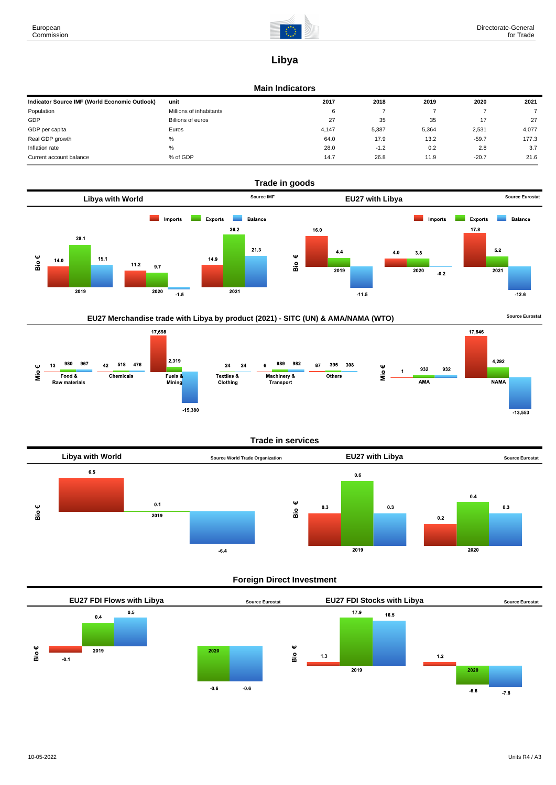

# **Libya**

## **Main Indicators**

| Indicator Source IMF (World Economic Outlook) | unit                    | 2017  | 2018   | 2019  | 2020    | 2021  |
|-----------------------------------------------|-------------------------|-------|--------|-------|---------|-------|
| Population                                    | Millions of inhabitants | 6     |        |       |         |       |
| GDP                                           | Billions of euros       | 27    | 35     | 35    | 17      | 27    |
| GDP per capita                                | Euros                   | 4.147 | 5,387  | 5,364 | 2,531   | 4,077 |
| Real GDP growth                               | %                       | 64.0  | 17.9   | 13.2  | $-59.7$ | 177.3 |
| Inflation rate                                | %                       | 28.0  | $-1.2$ | 0.2   | 2.8     | 3.7   |
| Current account balance                       | % of GDP                | 14.7  | 26.8   | 11.9  | $-20.7$ | 21.6  |









# **Trade in services**



# **Foreign Direct Investment**